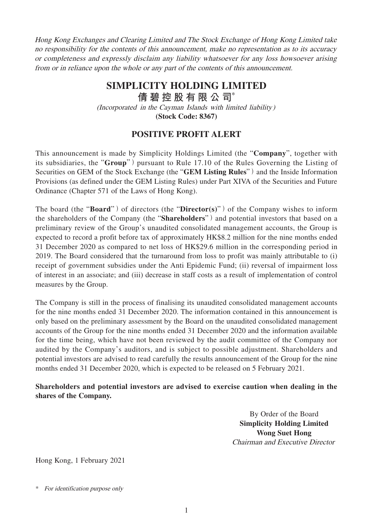Hong Kong Exchanges and Clearing Limited and The Stock Exchange of Hong Kong Limited take no responsibility for the contents of this announcement, make no representation as to its accuracy or completeness and expressly disclaim any liability whatsoever for any loss howsoever arising from or in reliance upon the whole or any part of the contents of this announcement.

## **SIMPLICITY HOLDING LIMITED**

**倩碧控股有限公 司**\*

(Incorporated in the Cayman Islands with limited liability)

**(Stock Code: 8367)**

## **POSITIVE PROFIT ALERT**

This announcement is made by Simplicity Holdings Limited (the "**Company**", together with its subsidiaries, the "**Group**") pursuant to Rule 17.10 of the Rules Governing the Listing of Securities on GEM of the Stock Exchange (the "**GEM Listing Rules**") and the Inside Information Provisions (as defined under the GEM Listing Rules) under Part XIVA of the Securities and Future Ordinance (Chapter 571 of the Laws of Hong Kong).

The board (the "**Board**") of directors (the "**Director(s**)") of the Company wishes to inform the shareholders of the Company (the "**Shareholders**") and potential investors that based on a preliminary review of the Group's unaudited consolidated management accounts, the Group is expected to record a profit before tax of approximately HK\$8.2 million for the nine months ended 31 December 2020 as compared to net loss of HK\$29.6 million in the corresponding period in 2019. The Board considered that the turnaround from loss to profit was mainly attributable to (i) receipt of government subsidies under the Anti Epidemic Fund; (ii) reversal of impairment loss of interest in an associate; and (iii) decrease in staff costs as a result of implementation of control measures by the Group.

The Company is still in the process of finalising its unaudited consolidated management accounts for the nine months ended 31 December 2020. The information contained in this announcement is only based on the preliminary assessment by the Board on the unaudited consolidated management accounts of the Group for the nine months ended 31 December 2020 and the information available for the time being, which have not been reviewed by the audit committee of the Company nor audited by the Company's auditors, and is subject to possible adjustment. Shareholders and potential investors are advised to read carefully the results announcement of the Group for the nine months ended 31 December 2020, which is expected to be released on 5 February 2021.

**Shareholders and potential investors are advised to exercise caution when dealing in the shares of the Company.**

> By Order of the Board **Simplicity Holding Limited Wong Suet Hong** Chairman and Executive Director

Hong Kong, 1 February 2021

\* For identification purpose only